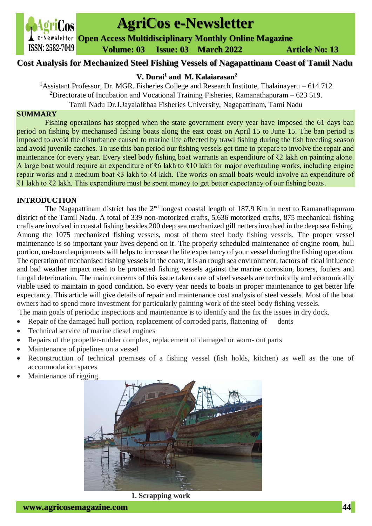

# **AgriCos e-Newsletter**

**Open Access Multidisciplinary Monthly Online Magazine**

 **ISSN: 2582-7049 Volume: 03 Issue: 03 March 2022 Article No: 13** 

# **Cost Analysis for Mechanized Steel Fishing Vessels of Nagapattinam Coast of Tamil Nadu**

# **V. Durai<sup>1</sup> and M. Kalaiarasan<sup>2</sup>**

<sup>1</sup> Assistant Professor, Dr. MGR. Fisheries College and Research Institute, Thalainayeru – 614 712

<sup>2</sup>Directorate of Incubation and Vocational Training Fisheries, Ramanathapuram – 623 519.

Tamil Nadu Dr.J.Jayalalithaa Fisheries University, Nagapattinam, Tami Nadu

## **SUMMARY**

Fishing operations has stopped when the state government every year have imposed the 61 days ban period on fishing by mechanised fishing boats along the east coast on April 15 to June 15. The ban period is imposed to avoid the disturbance caused to marine life affected by trawl fishing during the fish breeding season and avoid juvenile catches. To use this ban period our fishing vessels get time to prepare to involve the repair and maintenance for every year. Every steel body fishing boat warrants an expenditure of ₹2 lakh on painting alone. A large boat would require an expenditure of ₹6 lakh to ₹10 lakh for major overhauling works, including engine repair works and a medium boat ₹3 lakh to ₹4 lakh. The works on small boats would involve an expenditure of ₹1 lakh to ₹2 lakh. This expenditure must be spent money to get better expectancy of our fishing boats.

## **INTRODUCTION**

The Nagapattinam district has the  $2<sup>nd</sup>$  longest coastal length of 187.9 Km in next to Ramanathapuram district of the Tamil Nadu. A total of 339 non-motorized crafts, 5,636 motorized crafts, 875 mechanical fishing crafts are involved in coastal fishing besides 200 deep sea mechanized gill netters involved in the deep sea fishing. Among the 1075 mechanized fishing vessels, most of them steel body fishing vessels. The proper vessel maintenance is so important your lives depend on it. The properly scheduled maintenance of engine room, hull portion, on-board equipments will helps to increase the life expectancy of your vessel during the fishing operation. The operation of mechanised fishing vessels in the coast, it is an rough sea environment, factors of tidal influence and bad weather impact need to be protected fishing vessels against the marine corrosion, borers, foulers and fungal deterioration. The main concerns of this issue taken care of steel vessels are technically and economically viable used to maintain in good condition. So every year needs to boats in proper maintenance to get better life expectancy. This article will give details of repair and maintenance cost analysis of steel vessels. Most of the boat owners had to spend more investment for particularly painting work of the steel body fishing vessels.

The main goals of periodic inspections and maintenance is to identify and the fix the issues in dry dock.

- Repair of the damaged hull portion, replacement of corroded parts, flattening of dents
- Technical service of marine diesel engines
- Repairs of the propeller-rudder complex, replacement of damaged or worn- out parts
- Maintenance of pipelines on a vessel
- Reconstruction of technical premises of a fishing vessel (fish holds, kitchen) as well as the one of accommodation spaces
- Maintenance of rigging.



**1. Scrapping work**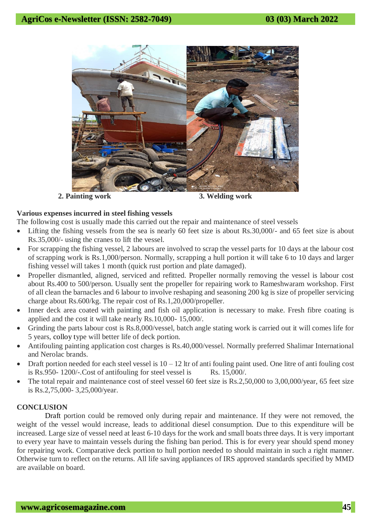

 **2. Painting work 3. Welding work**

#### **Various expenses incurred in steel fishing vessels**

The following cost is usually made this carried out the repair and maintenance of steel vessels

- Lifting the fishing vessels from the sea is nearly 60 feet size is about Rs.30,000/- and 65 feet size is about Rs.35,000/- using the cranes to lift the vessel.
- For scrapping the fishing vessel, 2 labours are involved to scrap the vessel parts for 10 days at the labour cost of scrapping work is Rs.1,000/person. Normally, scrapping a hull portion it will take 6 to 10 days and larger fishing vessel will takes 1 month (quick rust portion and plate damaged).
- Propeller dismantled, aligned, serviced and refitted. Propeller normally removing the vessel is labour cost about Rs.400 to 500/person. Usually sent the propeller for repairing work to Rameshwaram workshop. First of all clean the barnacles and 6 labour to involve reshaping and seasoning 200 kg is size of propeller servicing charge about Rs.600/kg. The repair cost of Rs.1,20,000/propeller.
- Inner deck area coated with painting and fish oil application is necessary to make. Fresh fibre coating is applied and the cost it will take nearly Rs.10,000- 15,000/.
- Grinding the parts labour cost is Rs.8,000/vessel, batch angle stating work is carried out it will comes life for 5 years, colloy type will better life of deck portion.
- Antifouling painting application cost charges is Rs.40,000/vessel. Normally preferred Shalimar International and Nerolac brands.
- Draft portion needed for each steel vessel is  $10 12$  ltr of anti fouling paint used. One litre of anti fouling cost is Rs.950-  $1200/-$ Cost of antifouling for steel vessel is Rs. 15,000.
- The total repair and maintenance cost of steel vessel 60 feet size is Rs.2,50,000 to 3,00,000/year, 65 feet size is Rs.2,75,000- 3,25,000/year.

## **CONCLUSION**

Draft portion could be removed only during repair and maintenance. If they were not removed, the weight of the vessel would increase, leads to additional diesel consumption. Due to this expenditure will be increased. Large size of vessel need at least 6-10 days for the work and small boats three days. It is very important to every year have to maintain vessels during the fishing ban period. This is for every year should spend money for repairing work. Comparative deck portion to hull portion needed to should maintain in such a right manner. Otherwise turn to reflect on the returns. All life saving appliances of IRS approved standards specified by MMD are available on board.